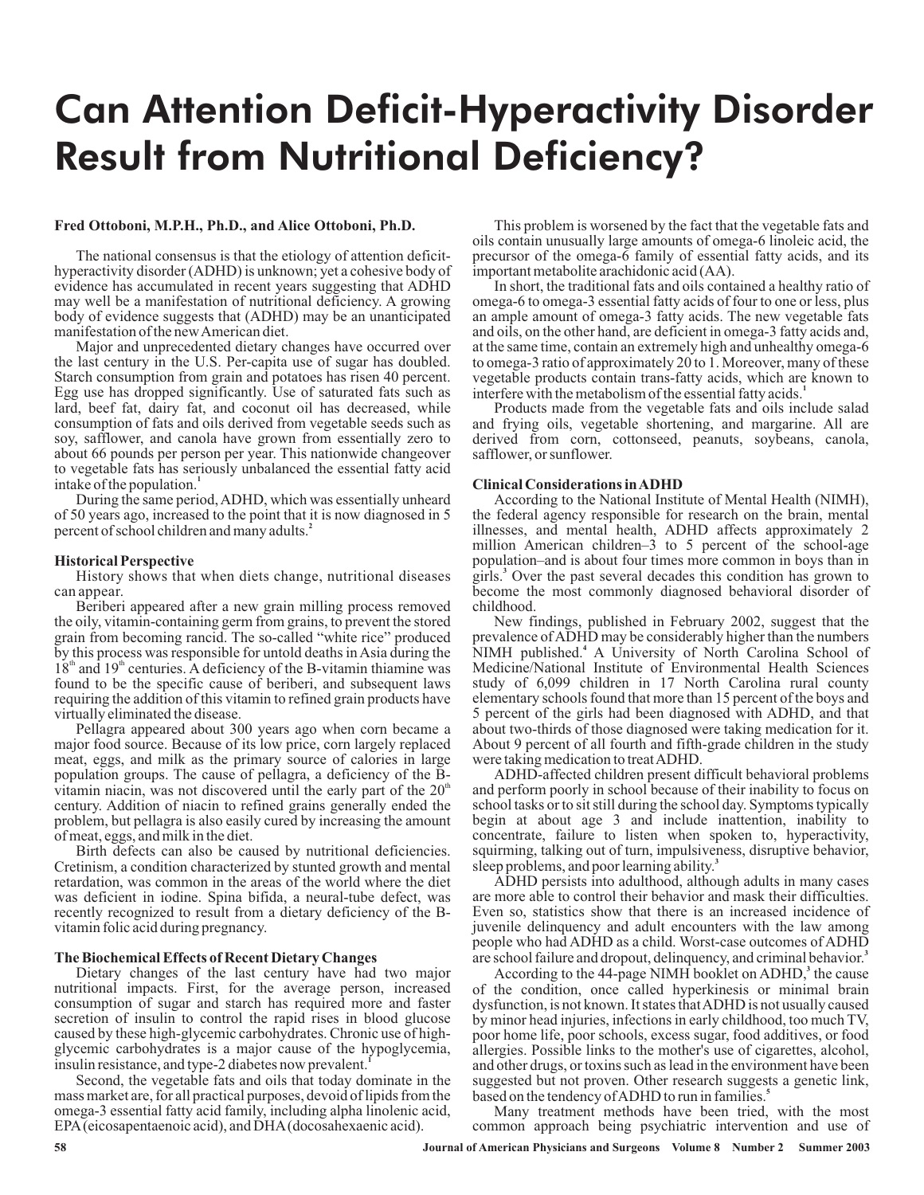# Can Attention Deficit-Hyperactivity Disorder Result from Nutritional Deficiency?

## **Fred Ottoboni, M.P.H., Ph.D., and Alice Ottoboni, Ph.D.**

The national consensus is that the etiology of attention deficithyperactivity disorder (ADHD) is unknown; yet a cohesive body of evidence has accumulated in recent years suggesting that ADHD may well be a manifestation of nutritional deficiency. A growing body of evidence suggests that (ADHD) may be an unanticipated manifestation of the newAmerican diet.

Major and unprecedented dietary changes have occurred over the last century in the U.S. Per-capita use of sugar has doubled. Starch consumption from grain and potatoes has risen 40 percent. Egg use has dropped significantly. Use of saturated fats such as lard, beef fat, dairy fat, and coconut oil has decreased, while consumption of fats and oils derived from vegetable seeds such as soy, safflower, and canola have grown from essentially zero to about 66 pounds per person per year. This nationwide changeover to vegetable fats has seriously unbalanced the essential fatty acid intake of the population.<sup>1</sup>

During the same period,ADHD, which was essentially unheard of 50 years ago, increased to the point that it is now diagnosed in 5 percent of school children and many adults. **2**

## **Historical Perspective**

History shows that when diets change, nutritional diseases can appear.

Beriberi appeared after a new grain milling process removed the oily, vitamin-containing germ from grains, to prevent the stored grain from becoming rancid. The so-called "white rice" produced by this process was responsible for untold deaths in Asia during the  $18<sup>th</sup>$  and  $19<sup>th</sup>$  centuries. A deficiency of the B-vitamin thiamine was found to be the specific cause of beriberi, and subsequent laws requiring the addition of this vitamin to refined grain products have virtually eliminated the disease.

Pellagra appeared about 300 years ago when corn became a major food source. Because of its low price, corn largely replaced meat, eggs, and milk as the primary source of calories in large population groups. The cause of pellagra, a deficiency of the Bvitamin niacin, was not discovered until the early part of the  $20<sup>th</sup>$ century. Addition of niacin to refined grains generally ended the problem, but pellagra is also easily cured by increasing the amount of meat, eggs, and milk in the diet.

Birth defects can also be caused by nutritional deficiencies. Cretinism, a condition characterized by stunted growth and mental retardation, was common in the areas of the world where the diet was deficient in iodine. Spina bifida, a neural-tube defect, was recently recognized to result from a dietary deficiency of the Bvitamin folic acid during pregnancy.

#### **The Biochemical Effects of Recent Dietary Changes**

Dietary changes of the last century have had two major nutritional impacts. First, for the average person, increased consumption of sugar and starch has required more and faster secretion of insulin to control the rapid rises in blood glucose caused by these high-glycemic carbohydrates. Chronic use of highglycemic carbohydrates is a major cause of the hypoglycemia, insulin resistance, and type-2 diabetes now prevalent. **1**

Second, the vegetable fats and oils that today dominate in the mass market are, for all practical purposes, devoid of lipids from the omega-3 essential fatty acid family, including alpha linolenic acid, EPA (eicosapentaenoic acid), and DHA (docosahexaenic acid).

This problem is worsened by the fact that the vegetable fats and oils contain unusually large amounts of omega-6 linoleic acid, the precursor of the omega-6 family of essential fatty acids, and its important metabolite arachidonic acid (AA).

In short, the traditional fats and oils contained a healthy ratio of omega-6 to omega-3 essential fatty acids of four to one or less, plus an ample amount of omega-3 fatty acids. The new vegetable fats and oils, on the other hand, are deficient in omega-3 fatty acids and, at the same time, contain an extremely high and unhealthy omega-6 to omega-3 ratio of approximately 20 to 1. Moreover, many of these vegetable products contain trans-fatty acids, which are known to interfere with the metabolism of the essential fatty acids. **1**

Products made from the vegetable fats and oils include salad and frying oils, vegetable shortening, and margarine. All are derived from corn, cottonseed, peanuts, soybeans, canola, safflower, or sunflower.

#### **Clinical Considerations inADHD**

According to the National Institute of Mental Health (NIMH), the federal agency responsible for research on the brain, mental illnesses, and mental health, ADHD affects approximately 2 million American children–3 to 5 percent of the school-age population–and is about four times more common in boys than in girls. Over the past several decades this condition has grown to **3** become the most commonly diagnosed behavioral disorder of childhood.

New findings, published in February 2002, suggest that the prevalence ofADHD may be considerably higher than the numbers NIMH published.<sup>4</sup> A University of North Carolina School of Medicine/National Institute of Environmental Health Sciences study of 6,099 children in 17 North Carolina rural county elementary schools found that more than 15 percent of the boys and 5 percent of the girls had been diagnosed with ADHD, and that about two-thirds of those diagnosed were taking medication for it. About 9 percent of all fourth and fifth-grade children in the study were taking medication to treat ADHD.

ADHD-affected children present difficult behavioral problems and perform poorly in school because of their inability to focus on school tasks or to sit still during the school day. Symptoms typically begin at about age 3 and include inattention, inability to concentrate, failure to listen when spoken to, hyperactivity, squirming, talking out of turn, impulsiveness, disruptive behavior, sleep problems, and poor learning ability. **3**

ADHD persists into adulthood, although adults in many cases are more able to control their behavior and mask their difficulties. Even so, statistics show that there is an increased incidence of juvenile delinquency and adult encounters with the law among people who had ADHD as a child. Worst-case outcomes of ADHD are school failure and dropout, delinquency, and criminal behavior. **3**

According to the 44-page NIMH booklet on ADHD,<sup>3</sup> the cause of the condition, once called hyperkinesis or minimal brain dysfunction, is not known. It states thatADHD is not usually caused by minor head injuries, infections in early childhood, too much TV, poor home life, poor schools, excess sugar, food additives, or food allergies. Possible links to the mother's use of cigarettes, alcohol, and other drugs, or toxins such as lead in the environment have been suggested but not proven. Other research suggests a genetic link, based on the tendency ofADHD to run in families. **5**

Many treatment methods have been tried, with the most common approach being psychiatric intervention and use of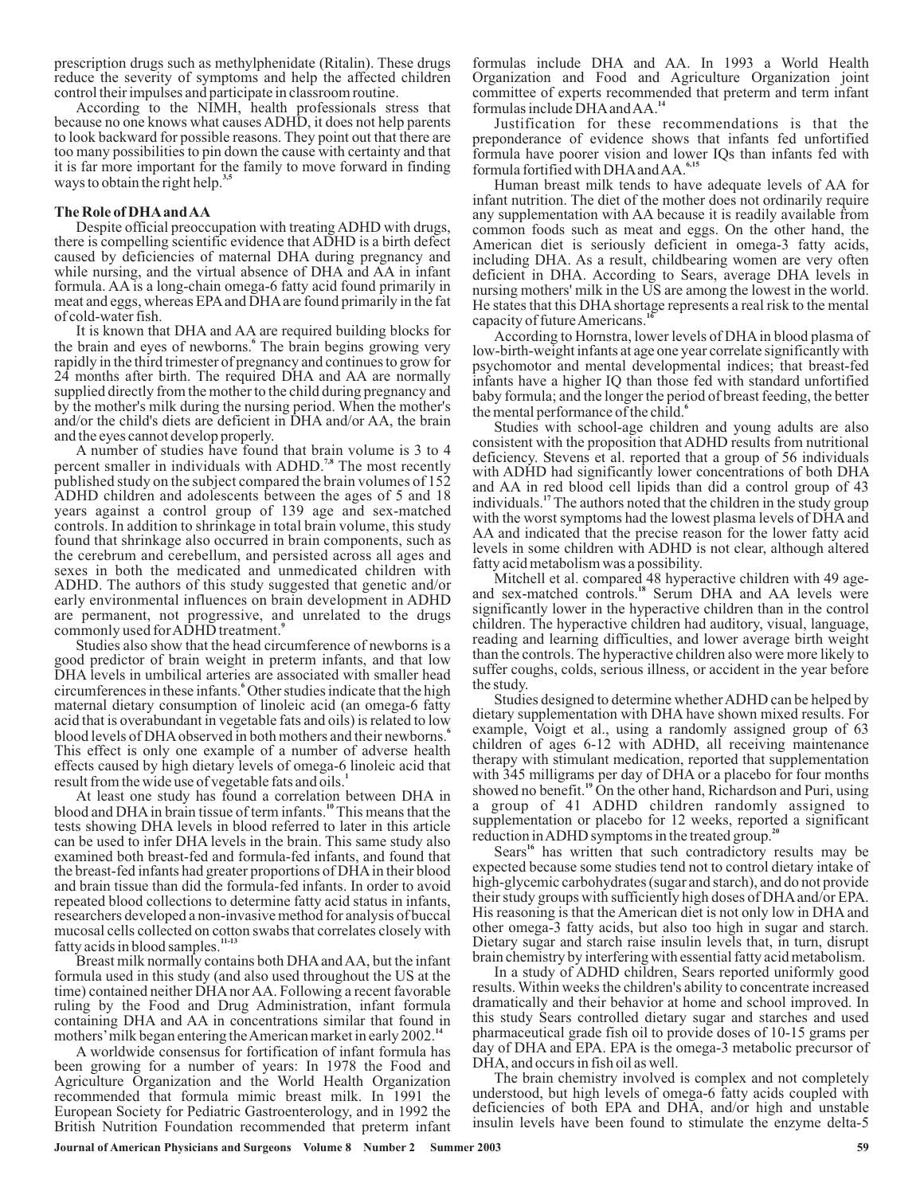prescription drugs such as methylphenidate (Ritalin). These drugs reduce the severity of symptoms and help the affected children control their impulses and participate in classroom routine.

According to the NIMH, health professionals stress that because no one knows what causes ADHD, it does not help parents to look backward for possible reasons. They point out that there are too many possibilities to pin down the cause with certainty and that it is far more important for the family to move forward in finding ways to obtain the right help. **3,5**

## **The Role of DHAandAA**

Despite official preoccupation with treating ADHD with drugs, there is compelling scientific evidence that ADHD is a birth defect caused by deficiencies of maternal DHA during pregnancy and while nursing, and the virtual absence of DHA and AA in infant formula. AA is a long-chain omega-6 fatty acid found primarily in meat and eggs, whereas EPAand DHAare found primarily in the fat of cold-water fish.

It is known that DHA and AA are required building blocks for the brain and eyes of newborns.<sup>6</sup> The brain begins growing very rapidly in the third trimester of pregnancy and continues to grow for 24 months after birth. The required DHA and AA are normally supplied directly from the mother to the child during pregnancy and by the mother's milk during the nursing period. When the mother's and/or the child's diets are deficient in DHA and/or AA, the brain and the eyes cannot develop properly.

A number of studies have found that brain volume is 3 to 4 percent smaller in individuals with ADHD.<sup>7,8</sup> The most recently published study on the subject compared the brain volumes of 152 ADHD children and adolescents between the ages of 5 and 18 years against a control group of 139 age and sex-matched controls. In addition to shrinkage in total brain volume, this study found that shrinkage also occurred in brain components, such as the cerebrum and cerebellum, and persisted across all ages and sexes in both the medicated and unmedicated children with ADHD. The authors of this study suggested that genetic and/or early environmental influences on brain development in ADHD are permanent, not progressive, and unrelated to the drugs commonly used for ADHD treatment.<sup>9</sup>

Studies also show that the head circumference of newborns is a good predictor of brain weight in preterm infants, and that low DHA levels in umbilical arteries are associated with smaller head circumferences in these infants.<sup>6</sup> Other studies indicate that the high maternal dietary consumption of linoleic acid (an omega-6 fatty acid that is overabundant in vegetable fats and oils) is related to low blood levels of DHA observed in both mothers and their newborns. **6** This effect is only one example of a number of adverse health effects caused by high dietary levels of omega-6 linoleic acid that result from the wide use of vegetable fats and oils. **1**

At least one study has found a correlation between DHA in blood and DHA in brain tissue of term infants.<sup>10</sup> This means that the tests showing DHA levels in blood referred to later in this article can be used to infer DHA levels in the brain. This same study also examined both breast-fed and formula-fed infants, and found that the breast-fed infants had greater proportions of DHA in their blood and brain tissue than did the formula-fed infants. In order to avoid repeated blood collections to determine fatty acid status in infants, researchers developed a non-invasive method for analysis of buccal mucosal cells collected on cotton swabs that correlates closely with fatty acids in blood samples. **11-13**

Breast milk normally contains both DHA and AA, but the infant formula used in this study (and also used throughout the US at the time) contained neither DHA nor AA. Following a recent favorable ruling by the Food and Drug Administration, infant formula containing DHA and AA in concentrations similar that found in mothers' milk began entering the American market in early 2002.<sup>14</sup>

A worldwide consensus for fortification of infant formula has been growing for a number of years: In 1978 the Food and Agriculture Organization and the World Health Organization recommended that formula mimic breast milk. In 1991 the European Society for Pediatric Gastroenterology, and in 1992 the British Nutrition Foundation recommended that preterm infant formulas include DHA and AA. In 1993 a World Health Organization and Food and Agriculture Organization joint committee of experts recommended that preterm and term infant formulas include DHAandAA. **14**

Justification for these recommendations is that the preponderance of evidence shows that infants fed unfortified formula have poorer vision and lower IQs than infants fed with formula fortified with DHAandAA. **6,15**

Human breast milk tends to have adequate levels of AA for infant nutrition. The diet of the mother does not ordinarily require any supplementation with AA because it is readily available from common foods such as meat and eggs. On the other hand, the American diet is seriously deficient in omega-3 fatty acids, including DHA. As a result, childbearing women are very often deficient in DHA. According to Sears, average DHA levels in nursing mothers' milk in the US are among the lowest in the world. He states that this DHA shortage represents a real risk to the mental capacity of futureAmericans. **16**

According to Hornstra, lower levels of DHAin blood plasma of low-birth-weight infants at age one year correlate significantly with psychomotor and mental developmental indices; that breast-fed infants have a higher IQ than those fed with standard unfortified baby formula; and the longer the period of breast feeding, the better the mental performance of the child. **6**

Studies with school-age children and young adults are also consistent with the proposition that ADHD results from nutritional deficiency. Stevens et al. reported that a group of 56 individuals with ADHD had significantly lower concentrations of both DHA and AA in red blood cell lipids than did a control group of 43 individuals.<sup>17</sup> The authors noted that the children in the study group with the worst symptoms had the lowest plasma levels of DHA and AA and indicated that the precise reason for the lower fatty acid levels in some children with ADHD is not clear, although altered fatty acid metabolism was a possibility.

Mitchell et al. compared 48 hyperactive children with 49 ageand sex-matched controls.<sup>18</sup> Serum DHA and AA levels were significantly lower in the hyperactive children than in the control children. The hyperactive children had auditory, visual, language, reading and learning difficulties, and lower average birth weight than the controls. The hyperactive children also were more likely to suffer coughs, colds, serious illness, or accident in the year before the study.

Studies designed to determine whether ADHD can be helped by dietary supplementation with DHA have shown mixed results. For example, Voigt et al., using a randomly assigned group of 63 children of ages 6-12 with ADHD, all receiving maintenance therapy with stimulant medication, reported that supplementation with 345 milligrams per day of DHA or a placebo for four months showed no benefit.<sup>19</sup> On the other hand, Richardson and Puri, using a group of 41 ADHD children randomly assigned to supplementation or placebo for 12 weeks, reported a significant reduction inADHD symptoms in the treated group. **20**

Sears<sup>16</sup> has written that such contradictory results may be expected because some studies tend not to control dietary intake of high-glycemic carbohydrates (sugar and starch), and do not provide their study groups with sufficiently high doses of DHA and/or EPA. His reasoning is that the American diet is not only low in DHA and other omega-3 fatty acids, but also too high in sugar and starch. Dietary sugar and starch raise insulin levels that, in turn, disrupt brain chemistry by interfering with essential fatty acid metabolism.

In a study of ADHD children, Sears reported uniformly good results. Within weeks the children's ability to concentrate increased dramatically and their behavior at home and school improved. In this study Sears controlled dietary sugar and starches and used pharmaceutical grade fish oil to provide doses of 10-15 grams per day of DHA and EPA. EPA is the omega-3 metabolic precursor of DHA, and occurs in fish oil as well.

The brain chemistry involved is complex and not completely understood, but high levels of omega-6 fatty acids coupled with deficiencies of both EPA and DHA, and/or high and unstable insulin levels have been found to stimulate the enzyme delta-5